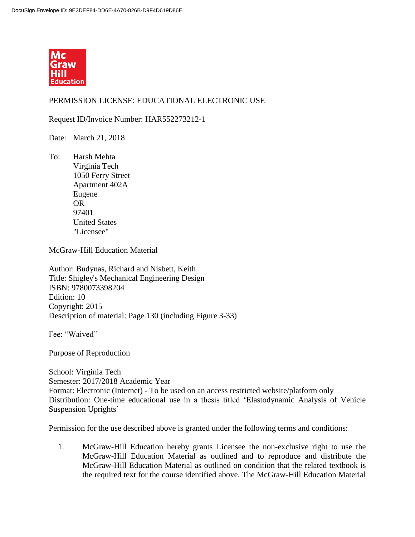

## PERMISSION LICENSE: EDUCATIONAL ELECTRONIC USE

Request ID/Invoice Number: HAR552273212-1

Date: March 21, 2018

To: Harsh Mehta Virginia Tech 1050 Ferry Street Apartment 402A Eugene OR 97401 United States "Licensee"

McGraw-Hill Education Material

Author: Budynas, Richard and Nisbett, Keith Title: Shigley's Mechanical Engineering Design ISBN: 9780073398204 Edition: 10 Copyright: 2015 Description of material: Page 130 (including Figure 3-33)

Fee: "Waived"

Purpose of Reproduction

School: Virginia Tech Semester: 2017/2018 Academic Year Format: Electronic (Internet) - To be used on an access restricted website/platform only Distribution: One-time educational use in a thesis titled 'Elastodynamic Analysis of Vehicle Suspension Uprights'

Permission for the use described above is granted under the following terms and conditions:

1. McGraw-Hill Education hereby grants Licensee the non-exclusive right to use the McGraw-Hill Education Material as outlined and to reproduce and distribute the McGraw-Hill Education Material as outlined on condition that the related textbook is the required text for the course identified above. The McGraw-Hill Education Material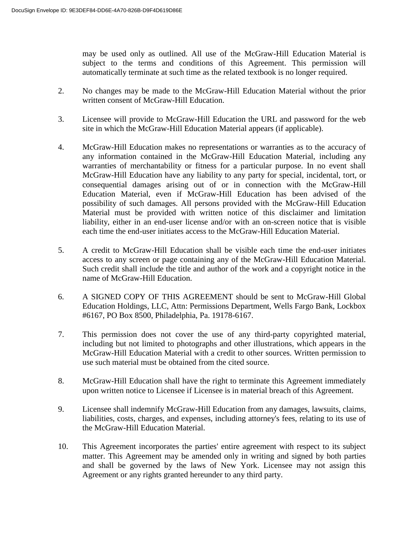may be used only as outlined. All use of the McGraw-Hill Education Material is subject to the terms and conditions of this Agreement. This permission will automatically terminate at such time as the related textbook is no longer required.

- 2. No changes may be made to the McGraw-Hill Education Material without the prior written consent of McGraw-Hill Education.
- 3. Licensee will provide to McGraw-Hill Education the URL and password for the web site in which the McGraw-Hill Education Material appears (if applicable).
- 4. McGraw-Hill Education makes no representations or warranties as to the accuracy of any information contained in the McGraw-Hill Education Material, including any warranties of merchantability or fitness for a particular purpose. In no event shall McGraw-Hill Education have any liability to any party for special, incidental, tort, or consequential damages arising out of or in connection with the McGraw-Hill Education Material, even if McGraw-Hill Education has been advised of the possibility of such damages. All persons provided with the McGraw-Hill Education Material must be provided with written notice of this disclaimer and limitation liability, either in an end-user license and/or with an on-screen notice that is visible each time the end-user initiates access to the McGraw-Hill Education Material.
- 5. A credit to McGraw-Hill Education shall be visible each time the end-user initiates access to any screen or page containing any of the McGraw-Hill Education Material. Such credit shall include the title and author of the work and a copyright notice in the name of McGraw-Hill Education.
- 6. A SIGNED COPY OF THIS AGREEMENT should be sent to McGraw-Hill Global Education Holdings, LLC, Attn: Permissions Department, Wells Fargo Bank, Lockbox #6167, PO Box 8500, Philadelphia, Pa. 19178-6167.
- 7. This permission does not cover the use of any third-party copyrighted material, including but not limited to photographs and other illustrations, which appears in the McGraw-Hill Education Material with a credit to other sources. Written permission to use such material must be obtained from the cited source.
- 8. McGraw-Hill Education shall have the right to terminate this Agreement immediately upon written notice to Licensee if Licensee is in material breach of this Agreement.
- 9. Licensee shall indemnify McGraw-Hill Education from any damages, lawsuits, claims, liabilities, costs, charges, and expenses, including attorney's fees, relating to its use of the McGraw-Hill Education Material.
- 10. This Agreement incorporates the parties' entire agreement with respect to its subject matter. This Agreement may be amended only in writing and signed by both parties and shall be governed by the laws of New York. Licensee may not assign this Agreement or any rights granted hereunder to any third party.